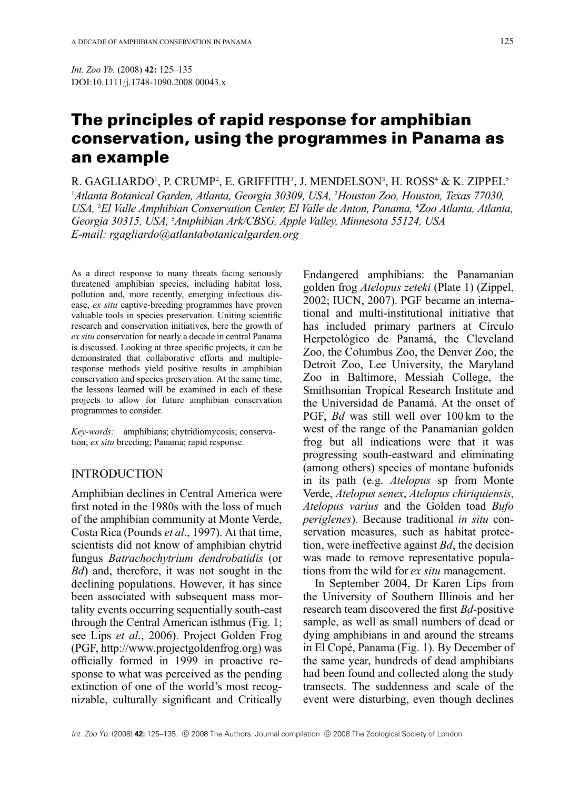Int. Zoo Yb. (2008) 42: 125–135 DOI:10.1111/j.1748-1090.2008.00043.x

# The principles of rapid response for amphibian conservation, using the programmes in Panama as an example

R. GAGLIARDO', P. CRUMP<sup>2</sup>, E. GRIFFITH<sup>3</sup>, J. MENDELSON<sup>3</sup>, H. ROSS<sup>4</sup> & K. ZIPPEL<sup>5</sup> <sup>1</sup> Atlanta Botanical Garden, Atlanta, Georgia 30309, USA, <sup>2</sup> Houston Zoo, Houston, Texas 77030, USA, <sup>3</sup>El Valle Amphibian Conservation Center, El Valle de Anton, Panama, <sup>4</sup>Zoo Atlanta, Atlanta, Georgia 30315, USA, <sup>5</sup> Amphibian Ark/CBSG, Apple Valley, Minnesota 55124, USA E-mail: rgagliardo@atlantabotanicalgarden.org

As a direct response to many threats facing seriously threatened amphibian species, including habitat loss, pollution and, more recently, emerging infectious disease, ex situ captive-breeding programmes have proven valuable tools in species preservation. Uniting scientific research and conservation initiatives, here the growth of ex situ conservation for nearly a decade in central Panama is discussed. Looking at three specific projects, it can be demonstrated that collaborative efforts and multipleresponse methods yield positive results in amphibian conservation and species preservation. At the same time, the lessons learned will be examined in each of these projects to allow for future amphibian conservation programmes to consider.

Key-words: amphibians; chytridiomycosis; conservation; ex situ breeding; Panama; rapid response.

### INTRODUCTION

Amphibian declines in Central America were first noted in the 1980s with the loss of much of the amphibian community at Monte Verde, Costa Rica (Pounds et al., 1997). At that time, scientists did not know of amphibian chytrid fungus Batrachochytrium dendrobatidis (or Bd) and, therefore, it was not sought in the declining populations. However, it has since been associated with subsequent mass mortality events occurring sequentially south-east through the Central American isthmus (Fig. 1; see Lips et al., 2006). Project Golden Frog (PGF, http://www.projectgoldenfrog.org) was officially formed in 1999 in proactive response to what was perceived as the pending extinction of one of the world's most recognizable, culturally significant and Critically

Endangered amphibians: the Panamanian golden frog Atelopus zeteki (Plate 1) (Zippel, 2002; IUCN, 2007). PGF became an international and multi-institutional initiative that has included primary partners at Círculo Herpetológico de Panamá, the Cleveland Zoo, the Columbus Zoo, the Denver Zoo, the Detroit Zoo, Lee University, the Maryland Zoo in Baltimore, Messiah College, the Smithsonian Tropical Research Institute and the Universidad de Panamá. At the onset of PGF, *Bd* was still well over 100 km to the west of the range of the Panamanian golden frog but all indications were that it was progressing south-eastward and eliminating (among others) species of montane bufonids in its path (e.g. Atelopus sp from Monte Verde, Atelopus senex, Atelopus chiriquiensis, Atelopus varius and the Golden toad Bufo periglenes). Because traditional in situ conservation measures, such as habitat protection, were ineffective against Bd, the decision was made to remove representative populations from the wild for ex situ management.

In September 2004, Dr Karen Lips from the University of Southern Illinois and her research team discovered the first Bd-positive sample, as well as small numbers of dead or dying amphibians in and around the streams in El Copé, Panama (Fig. 1). By December of the same year, hundreds of dead amphibians had been found and collected along the study transects. The suddenness and scale of the event were disturbing, even though declines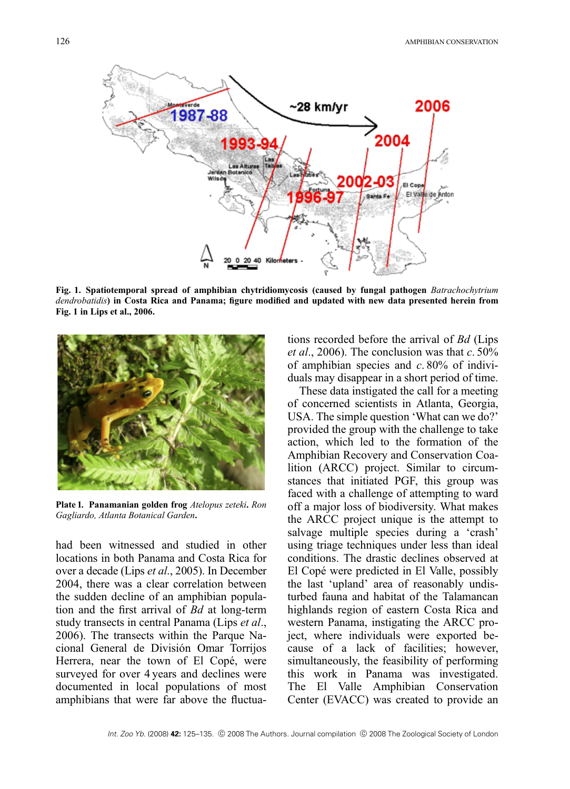

Fig. 1. Spatiotemporal spread of amphibian chytridiomycosis (caused by fungal pathogen Batrachochytrium dendrobatidis) in Costa Rica and Panama; figure modified and updated with new data presented herein from Fig. 1 in Lips et al., 2006.



Plate 1. Panamanian golden frog Atelopus zeteki. Ron Gagliardo, Atlanta Botanical Garden.

had been witnessed and studied in other locations in both Panama and Costa Rica for over a decade (Lips et al., 2005). In December 2004, there was a clear correlation between the sudden decline of an amphibian population and the first arrival of Bd at long-term study transects in central Panama (Lips et al., 2006). The transects within the Parque Nacional General de División Omar Torrijos Herrera, near the town of El Copé, were surveyed for over 4 years and declines were documented in local populations of most amphibians that were far above the fluctuations recorded before the arrival of Bd (Lips et al., 2006). The conclusion was that  $c. 50\%$ of amphibian species and  $c$ . 80% of individuals may disappear in a short period of time.

These data instigated the call for a meeting of concerned scientists in Atlanta, Georgia, USA. The simple question 'What can we do?' provided the group with the challenge to take action, which led to the formation of the Amphibian Recovery and Conservation Coalition (ARCC) project. Similar to circumstances that initiated PGF, this group was faced with a challenge of attempting to ward off a major loss of biodiversity. What makes the ARCC project unique is the attempt to salvage multiple species during a 'crash' using triage techniques under less than ideal conditions. The drastic declines observed at El Copé were predicted in El Valle, possibly the last 'upland' area of reasonably undisturbed fauna and habitat of the Talamancan highlands region of eastern Costa Rica and western Panama, instigating the ARCC project, where individuals were exported because of a lack of facilities; however, simultaneously, the feasibility of performing this work in Panama was investigated. The El Valle Amphibian Conservation Center (EVACC) was created to provide an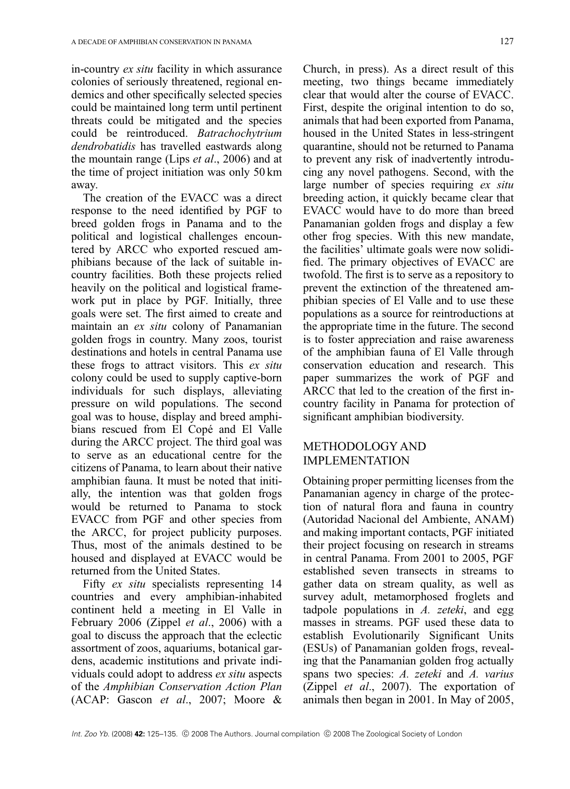in-country ex situ facility in which assurance colonies of seriously threatened, regional endemics and other specifically selected species could be maintained long term until pertinent threats could be mitigated and the species could be reintroduced. Batrachochytrium dendrobatidis has travelled eastwards along the mountain range (Lips et al., 2006) and at the time of project initiation was only 50 km away.

The creation of the EVACC was a direct response to the need identified by PGF to breed golden frogs in Panama and to the political and logistical challenges encountered by ARCC who exported rescued amphibians because of the lack of suitable incountry facilities. Both these projects relied heavily on the political and logistical framework put in place by PGF. Initially, three goals were set. The first aimed to create and maintain an ex situ colony of Panamanian golden frogs in country. Many zoos, tourist destinations and hotels in central Panama use these frogs to attract visitors. This ex situ colony could be used to supply captive-born individuals for such displays, alleviating pressure on wild populations. The second goal was to house, display and breed amphibians rescued from El Copé and El Valle during the ARCC project. The third goal was to serve as an educational centre for the citizens of Panama, to learn about their native amphibian fauna. It must be noted that initially, the intention was that golden frogs would be returned to Panama to stock EVACC from PGF and other species from the ARCC, for project publicity purposes. Thus, most of the animals destined to be housed and displayed at EVACC would be returned from the United States.

Fifty *ex situ* specialists representing 14 countries and every amphibian-inhabited continent held a meeting in El Valle in February 2006 (Zippel et al., 2006) with a goal to discuss the approach that the eclectic assortment of zoos, aquariums, botanical gardens, academic institutions and private individuals could adopt to address ex situ aspects of the Amphibian Conservation Action Plan (ACAP: Gascon et al., 2007; Moore &

Church, in press). As a direct result of this meeting, two things became immediately clear that would alter the course of EVACC. First, despite the original intention to do so, animals that had been exported from Panama, housed in the United States in less-stringent quarantine, should not be returned to Panama to prevent any risk of inadvertently introducing any novel pathogens. Second, with the large number of species requiring ex situ breeding action, it quickly became clear that EVACC would have to do more than breed Panamanian golden frogs and display a few other frog species. With this new mandate, the facilities' ultimate goals were now solidified. The primary objectives of EVACC are twofold. The first is to serve as a repository to prevent the extinction of the threatened amphibian species of El Valle and to use these populations as a source for reintroductions at the appropriate time in the future. The second is to foster appreciation and raise awareness of the amphibian fauna of El Valle through conservation education and research. This paper summarizes the work of PGF and ARCC that led to the creation of the first incountry facility in Panama for protection of significant amphibian biodiversity.

## METHODOLOGY AND IMPLEMENTATION

Obtaining proper permitting licenses from the Panamanian agency in charge of the protection of natural flora and fauna in country (Autoridad Nacional del Ambiente, ANAM) and making important contacts, PGF initiated their project focusing on research in streams in central Panama. From 2001 to 2005, PGF established seven transects in streams to gather data on stream quality, as well as survey adult, metamorphosed froglets and tadpole populations in  $A$ . zeteki, and egg masses in streams. PGF used these data to establish Evolutionarily Significant Units (ESUs) of Panamanian golden frogs, revealing that the Panamanian golden frog actually spans two species: A. zeteki and A. varius (Zippel et al., 2007). The exportation of animals then began in 2001. In May of 2005,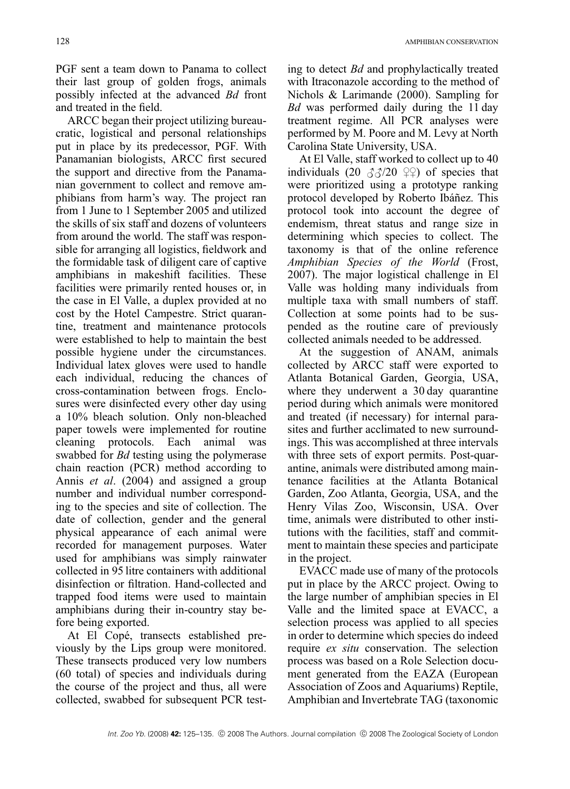PGF sent a team down to Panama to collect their last group of golden frogs, animals possibly infected at the advanced Bd front and treated in the field.

ARCC began their project utilizing bureaucratic, logistical and personal relationships put in place by its predecessor, PGF. With Panamanian biologists, ARCC first secured the support and directive from the Panamanian government to collect and remove amphibians from harm's way. The project ran from 1 June to 1 September 2005 and utilized the skills of six staff and dozens of volunteers from around the world. The staff was responsible for arranging all logistics, fieldwork and the formidable task of diligent care of captive amphibians in makeshift facilities. These facilities were primarily rented houses or, in the case in El Valle, a duplex provided at no cost by the Hotel Campestre. Strict quarantine, treatment and maintenance protocols were established to help to maintain the best possible hygiene under the circumstances. Individual latex gloves were used to handle each individual, reducing the chances of cross-contamination between frogs. Enclosures were disinfected every other day using a 10% bleach solution. Only non-bleached paper towels were implemented for routine cleaning protocols. Each animal was swabbed for *Bd* testing using the polymerase chain reaction (PCR) method according to Annis et al. (2004) and assigned a group number and individual number corresponding to the species and site of collection. The date of collection, gender and the general physical appearance of each animal were recorded for management purposes. Water used for amphibians was simply rainwater collected in 95 litre containers with additional disinfection or filtration. Hand-collected and trapped food items were used to maintain amphibians during their in-country stay before being exported.

At El Copé, transects established previously by the Lips group were monitored. These transects produced very low numbers (60 total) of species and individuals during the course of the project and thus, all were collected, swabbed for subsequent PCR testing to detect Bd and prophylactically treated with Itraconazole according to the method of Nichols & Larimande (2000). Sampling for Bd was performed daily during the 11 day treatment regime. All PCR analyses were performed by M. Poore and M. Levy at North Carolina State University, USA.

At El Valle, staff worked to collect up to 40 individuals (20  $\partial^2/20$   $\partial^2$ ) of species that were prioritized using a prototype ranking protocol developed by Roberto Ibáñez. This protocol took into account the degree of endemism, threat status and range size in determining which species to collect. The taxonomy is that of the online reference Amphibian Species of the World (Frost, 2007). The major logistical challenge in El Valle was holding many individuals from multiple taxa with small numbers of staff. Collection at some points had to be suspended as the routine care of previously collected animals needed to be addressed.

At the suggestion of ANAM, animals collected by ARCC staff were exported to Atlanta Botanical Garden, Georgia, USA, where they underwent a 30 day quarantine period during which animals were monitored and treated (if necessary) for internal parasites and further acclimated to new surroundings. This was accomplished at three intervals with three sets of export permits. Post-quarantine, animals were distributed among maintenance facilities at the Atlanta Botanical Garden, Zoo Atlanta, Georgia, USA, and the Henry Vilas Zoo, Wisconsin, USA. Over time, animals were distributed to other institutions with the facilities, staff and commitment to maintain these species and participate in the project.

EVACC made use of many of the protocols put in place by the ARCC project. Owing to the large number of amphibian species in El Valle and the limited space at EVACC, a selection process was applied to all species in order to determine which species do indeed require ex situ conservation. The selection process was based on a Role Selection document generated from the EAZA (European Association of Zoos and Aquariums) Reptile, Amphibian and Invertebrate TAG (taxonomic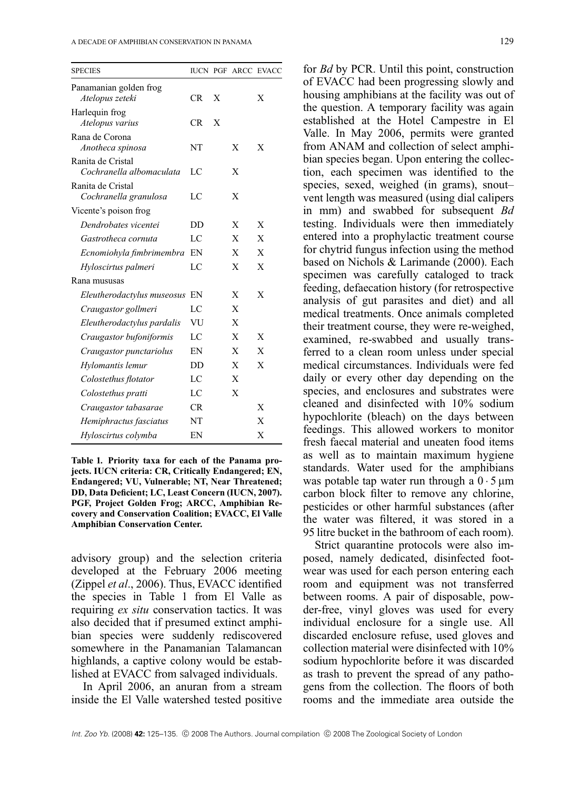| <b>SPECIES</b>                                |           |   |   | <b>IUCN PGF ARCC EVACC</b> |
|-----------------------------------------------|-----------|---|---|----------------------------|
| Panamanian golden frog<br>Atelopus zeteki     | CR.       | X |   | X                          |
| Harlequin frog<br>Atelopus varius             | CR.       | X |   |                            |
| Rana de Corona<br>Anotheca spinosa            | NT        |   | X | X                          |
| Ranita de Cristal<br>Cochranella albomaculata | LC        |   | X |                            |
| Ranita de Cristal<br>Cochranella granulosa    | LC        |   | X |                            |
| Vicente's poison frog                         |           |   |   |                            |
| Dendrobates vicentei                          | DD        |   | X | X                          |
| Gastrotheca cornuta                           | LC        |   | X | X                          |
| Ecnomiohyla fimbrimembra                      | EN        |   | X | X                          |
| Hyloscirtus palmeri                           | LC        |   | X | X                          |
| Rana mususas                                  |           |   |   |                            |
| Eleutherodactylus museosus                    | EN        |   | X | X                          |
| Craugastor gollmeri                           | LC        |   | X |                            |
| Eleutherodactylus pardalis                    | VU        |   | X |                            |
| Craugastor bufoniformis                       | LC        |   | X | X                          |
| Craugastor punctariolus                       | EN        |   | X | X                          |
| Hylomantis lemur                              | DD        |   | X | X                          |
| Colostethus flotator                          | LC        |   | X |                            |
| Colostethus pratti                            | LC        |   | X |                            |
| Craugastor tabasarae                          | <b>CR</b> |   |   | X                          |
| Hemiphractus fasciatus                        | NT        |   |   | X                          |
| Hyloscirtus colymba                           | EN        |   |   | X                          |

Table 1. Priority taxa for each of the Panama projects. IUCN criteria: CR, Critically Endangered; EN, Endangered; VU, Vulnerable; NT, Near Threatened; DD, Data Deficient; LC, Least Concern (IUCN, 2007). PGF, Project Golden Frog; ARCC, Amphibian Recovery and Conservation Coalition; EVACC, El Valle Amphibian Conservation Center.

advisory group) and the selection criteria developed at the February 2006 meeting (Zippel et al., 2006). Thus, EVACC identified the species in Table 1 from El Valle as requiring ex situ conservation tactics. It was also decided that if presumed extinct amphibian species were suddenly rediscovered somewhere in the Panamanian Talamancan highlands, a captive colony would be established at EVACC from salvaged individuals.

In April 2006, an anuran from a stream inside the El Valle watershed tested positive

for Bd by PCR. Until this point, construction of EVACC had been progressing slowly and housing amphibians at the facility was out of the question. A temporary facility was again established at the Hotel Campestre in El Valle. In May 2006, permits were granted from ANAM and collection of select amphibian species began. Upon entering the collection, each specimen was identified to the species, sexed, weighed (in grams), snout– vent length was measured (using dial calipers in mm) and swabbed for subsequent Bd testing. Individuals were then immediately entered into a prophylactic treatment course for chytrid fungus infection using the method based on Nichols & Larimande (2000). Each specimen was carefully cataloged to track feeding, defaecation history (for retrospective analysis of gut parasites and diet) and all medical treatments. Once animals completed their treatment course, they were re-weighed, examined, re-swabbed and usually transferred to a clean room unless under special medical circumstances. Individuals were fed daily or every other day depending on the species, and enclosures and substrates were cleaned and disinfected with 10% sodium hypochlorite (bleach) on the days between feedings. This allowed workers to monitor fresh faecal material and uneaten food items as well as to maintain maximum hygiene standards. Water used for the amphibians was potable tap water run through a  $0.5 \,\mathrm{\upmu m}$ carbon block filter to remove any chlorine, pesticides or other harmful substances (after the water was filtered, it was stored in a 95 litre bucket in the bathroom of each room).

Strict quarantine protocols were also imposed, namely dedicated, disinfected footwear was used for each person entering each room and equipment was not transferred between rooms. A pair of disposable, powder-free, vinyl gloves was used for every individual enclosure for a single use. All discarded enclosure refuse, used gloves and collection material were disinfected with 10% sodium hypochlorite before it was discarded as trash to prevent the spread of any pathogens from the collection. The floors of both rooms and the immediate area outside the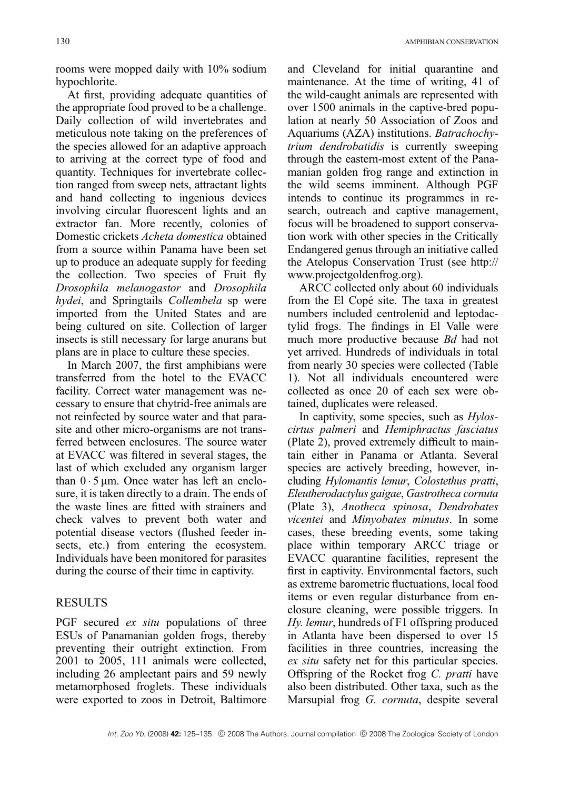first in captivity. Environmental factors, such as extreme barometric fluctuations, local food items or even regular disturbance from enclosure cleaning, were possible triggers. In Hy. lemur, hundreds of F1 offspring produced in Atlanta have been dispersed to over 15 facilities in three countries, increasing the ex situ safety net for this particular species. Offspring of the Rocket frog C. pratti have also been distributed. Other taxa, such as the Marsupial frog G. cornuta, despite several

ARCC collected only about 60 individuals from the El Copé site. The taxa in greatest numbers included centrolenid and leptodactylid frogs. The findings in El Valle were much more productive because Bd had not yet arrived. Hundreds of individuals in total from nearly 30 species were collected (Table 1). Not all individuals encountered were collected as once 20 of each sex were obtained, duplicates were released.

In captivity, some species, such as Hyloscirtus palmeri and Hemiphractus fasciatus (Plate 2), proved extremely difficult to maintain either in Panama or Atlanta. Several species are actively breeding, however, including Hylomantis lemur, Colostethus pratti, Eleutherodactylus gaigae, Gastrotheca cornuta (Plate 3), Anotheca spinosa, Dendrobates vicentei and Minyobates minutus. In some cases, these breeding events, some taking place within temporary ARCC triage or EVACC quarantine facilities, represent the

www.projectgoldenfrog.org).

and Cleveland for initial quarantine and maintenance. At the time of writing, 41 of the wild-caught animals are represented with over 1500 animals in the captive-bred population at nearly 50 Association of Zoos and Aquariums (AZA) institutions. Batrachochytrium dendrobatidis is currently sweeping through the eastern-most extent of the Panamanian golden frog range and extinction in the wild seems imminent. Although PGF intends to continue its programmes in research, outreach and captive management, focus will be broadened to support conservation work with other species in the Critically Endangered genus through an initiative called the Atelopus Conservation Trust (see http://

rooms were mopped daily with 10% sodium hypochlorite.

At first, providing adequate quantities of the appropriate food proved to be a challenge. Daily collection of wild invertebrates and meticulous note taking on the preferences of the species allowed for an adaptive approach to arriving at the correct type of food and quantity. Techniques for invertebrate collection ranged from sweep nets, attractant lights and hand collecting to ingenious devices involving circular fluorescent lights and an extractor fan. More recently, colonies of Domestic crickets Acheta domestica obtained from a source within Panama have been set up to produce an adequate supply for feeding the collection. Two species of Fruit fly Drosophila melanogastor and Drosophila hydei, and Springtails Collembela sp were imported from the United States and are being cultured on site. Collection of larger insects is still necessary for large anurans but plans are in place to culture these species.

In March 2007, the first amphibians were transferred from the hotel to the EVACC facility. Correct water management was necessary to ensure that chytrid-free animals are not reinfected by source water and that parasite and other micro-organisms are not transferred between enclosures. The source water at EVACC was filtered in several stages, the last of which excluded any organism larger than  $0.5 \mu m$ . Once water has left an enclosure, it is taken directly to a drain. The ends of the waste lines are fitted with strainers and check valves to prevent both water and potential disease vectors (flushed feeder insects, etc.) from entering the ecosystem. Individuals have been monitored for parasites during the course of their time in captivity.

#### RESULTS

PGF secured *ex situ* populations of three ESUs of Panamanian golden frogs, thereby preventing their outright extinction. From 2001 to 2005, 111 animals were collected, including 26 amplectant pairs and 59 newly metamorphosed froglets. These individuals were exported to zoos in Detroit, Baltimore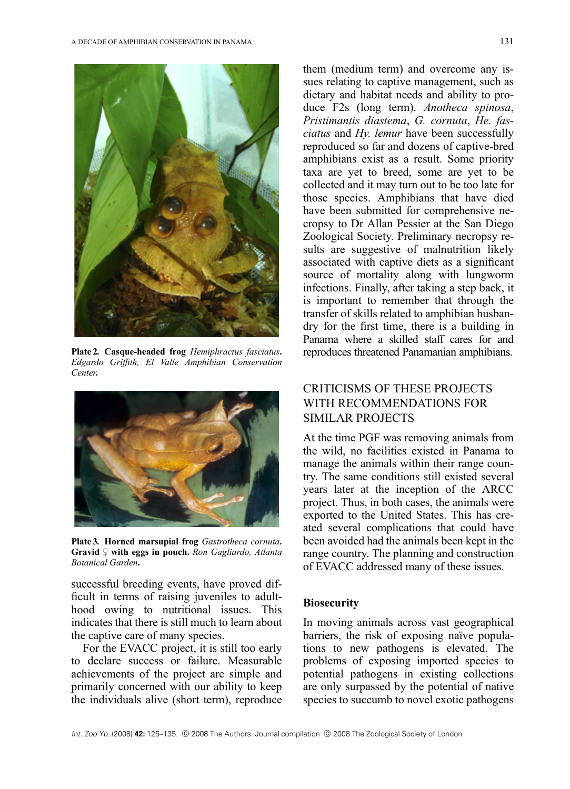

Plate 2. Casque-headed frog Hemiphractus fasciatus. Edgardo Griffith, El Valle Amphibian Conservation Center.



Plate 3. Horned marsupial frog Gastrotheca cornuta. Gravid  $\mathcal Q$  with eggs in pouch. Ron Gagliardo, Atlanta Botanical Garden.

successful breeding events, have proved difficult in terms of raising juveniles to adulthood owing to nutritional issues. This indicates that there is still much to learn about the captive care of many species.

For the EVACC project, it is still too early to declare success or failure. Measurable achievements of the project are simple and primarily concerned with our ability to keep the individuals alive (short term), reproduce

them (medium term) and overcome any issues relating to captive management, such as dietary and habitat needs and ability to produce F2s (long term). Anotheca spinosa, Pristimantis diastema, G. cornuta, He. fasciatus and Hy. lemur have been successfully reproduced so far and dozens of captive-bred amphibians exist as a result. Some priority taxa are yet to breed, some are yet to be collected and it may turn out to be too late for those species. Amphibians that have died have been submitted for comprehensive necropsy to Dr Allan Pessier at the San Diego Zoological Society. Preliminary necropsy results are suggestive of malnutrition likely associated with captive diets as a significant source of mortality along with lungworm infections. Finally, after taking a step back, it is important to remember that through the transfer of skills related to amphibian husbandry for the first time, there is a building in Panama where a skilled staff cares for and reproduces threatened Panamanian amphibians.

# CRITICISMS OF THESE PROJECTS WITH RECOMMENDATIONS FOR SIMILAR PROJECTS

At the time PGF was removing animals from the wild, no facilities existed in Panama to manage the animals within their range country. The same conditions still existed several years later at the inception of the ARCC project. Thus, in both cases, the animals were exported to the United States. This has created several complications that could have been avoided had the animals been kept in the range country. The planning and construction of EVACC addressed many of these issues.

#### **Biosecurity**

In moving animals across vast geographical barriers, the risk of exposing naïve populations to new pathogens is elevated. The problems of exposing imported species to potential pathogens in existing collections are only surpassed by the potential of native species to succumb to novel exotic pathogens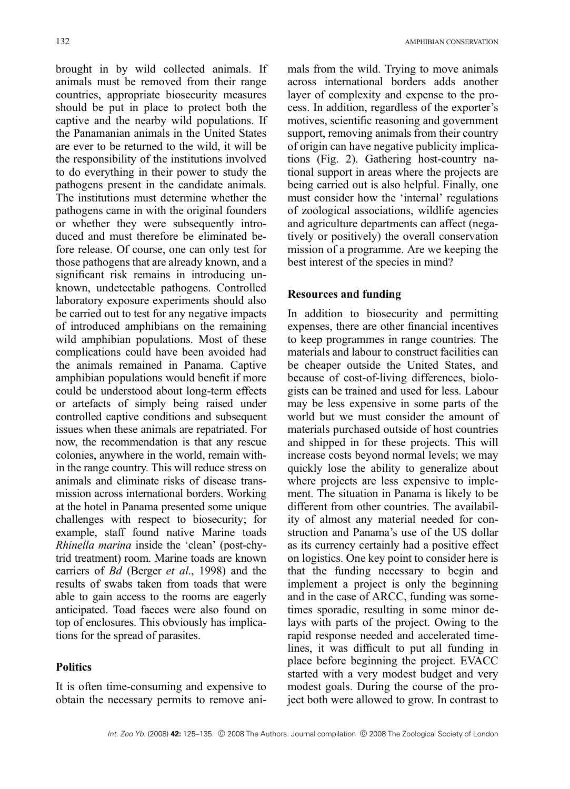brought in by wild collected animals. If animals must be removed from their range countries, appropriate biosecurity measures should be put in place to protect both the captive and the nearby wild populations. If the Panamanian animals in the United States are ever to be returned to the wild, it will be the responsibility of the institutions involved to do everything in their power to study the pathogens present in the candidate animals. The institutions must determine whether the pathogens came in with the original founders or whether they were subsequently introduced and must therefore be eliminated before release. Of course, one can only test for those pathogens that are already known, and a significant risk remains in introducing unknown, undetectable pathogens. Controlled laboratory exposure experiments should also be carried out to test for any negative impacts of introduced amphibians on the remaining wild amphibian populations. Most of these complications could have been avoided had the animals remained in Panama. Captive amphibian populations would benefit if more could be understood about long-term effects or artefacts of simply being raised under controlled captive conditions and subsequent issues when these animals are repatriated. For now, the recommendation is that any rescue colonies, anywhere in the world, remain within the range country. This will reduce stress on animals and eliminate risks of disease transmission across international borders. Working at the hotel in Panama presented some unique challenges with respect to biosecurity; for example, staff found native Marine toads Rhinella marina inside the 'clean' (post-chytrid treatment) room. Marine toads are known carriers of Bd (Berger et al., 1998) and the results of swabs taken from toads that were able to gain access to the rooms are eagerly anticipated. Toad faeces were also found on top of enclosures. This obviously has implications for the spread of parasites.

## **Politics**

It is often time-consuming and expensive to obtain the necessary permits to remove animals from the wild. Trying to move animals across international borders adds another layer of complexity and expense to the process. In addition, regardless of the exporter's motives, scientific reasoning and government support, removing animals from their country of origin can have negative publicity implications (Fig. 2). Gathering host-country national support in areas where the projects are being carried out is also helpful. Finally, one must consider how the 'internal' regulations of zoological associations, wildlife agencies and agriculture departments can affect (negatively or positively) the overall conservation mission of a programme. Are we keeping the best interest of the species in mind?

#### Resources and funding

In addition to biosecurity and permitting expenses, there are other financial incentives to keep programmes in range countries. The materials and labour to construct facilities can be cheaper outside the United States, and because of cost-of-living differences, biologists can be trained and used for less. Labour may be less expensive in some parts of the world but we must consider the amount of materials purchased outside of host countries and shipped in for these projects. This will increase costs beyond normal levels; we may quickly lose the ability to generalize about where projects are less expensive to implement. The situation in Panama is likely to be different from other countries. The availability of almost any material needed for construction and Panama's use of the US dollar as its currency certainly had a positive effect on logistics. One key point to consider here is that the funding necessary to begin and implement a project is only the beginning and in the case of ARCC, funding was sometimes sporadic, resulting in some minor delays with parts of the project. Owing to the rapid response needed and accelerated timelines, it was difficult to put all funding in place before beginning the project. EVACC started with a very modest budget and very modest goals. During the course of the project both were allowed to grow. In contrast to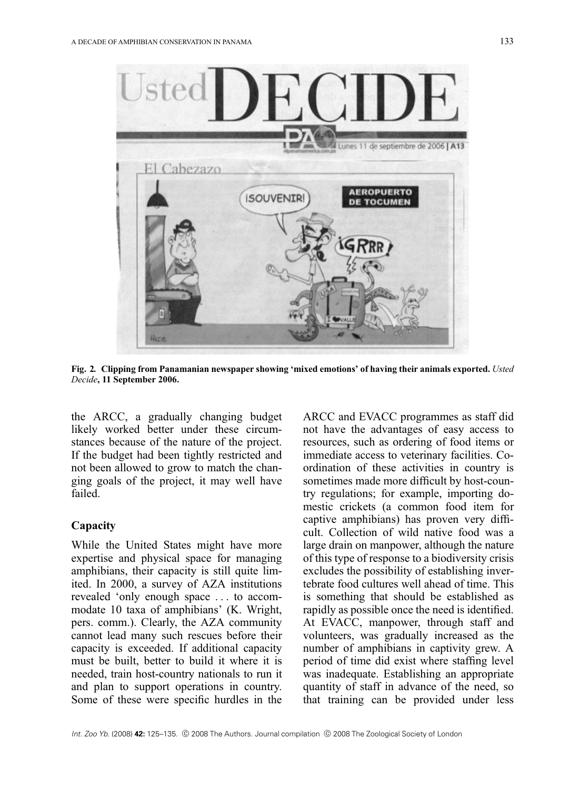

Fig. 2. Clipping from Panamanian newspaper showing 'mixed emotions' of having their animals exported. Usted Decide, 11 September 2006.

the ARCC, a gradually changing budget likely worked better under these circumstances because of the nature of the project. If the budget had been tightly restricted and not been allowed to grow to match the changing goals of the project, it may well have failed.

#### Capacity

While the United States might have more expertise and physical space for managing amphibians, their capacity is still quite limited. In 2000, a survey of AZA institutions revealed 'only enough space . . . to accommodate 10 taxa of amphibians' (K. Wright, pers. comm.). Clearly, the AZA community cannot lead many such rescues before their capacity is exceeded. If additional capacity must be built, better to build it where it is needed, train host-country nationals to run it and plan to support operations in country. Some of these were specific hurdles in the

ARCC and EVACC programmes as staff did not have the advantages of easy access to resources, such as ordering of food items or immediate access to veterinary facilities. Coordination of these activities in country is sometimes made more difficult by host-country regulations; for example, importing domestic crickets (a common food item for captive amphibians) has proven very difficult. Collection of wild native food was a large drain on manpower, although the nature of this type of response to a biodiversity crisis excludes the possibility of establishing invertebrate food cultures well ahead of time. This is something that should be established as rapidly as possible once the need is identified. At EVACC, manpower, through staff and volunteers, was gradually increased as the number of amphibians in captivity grew. A period of time did exist where staffing level was inadequate. Establishing an appropriate quantity of staff in advance of the need, so that training can be provided under less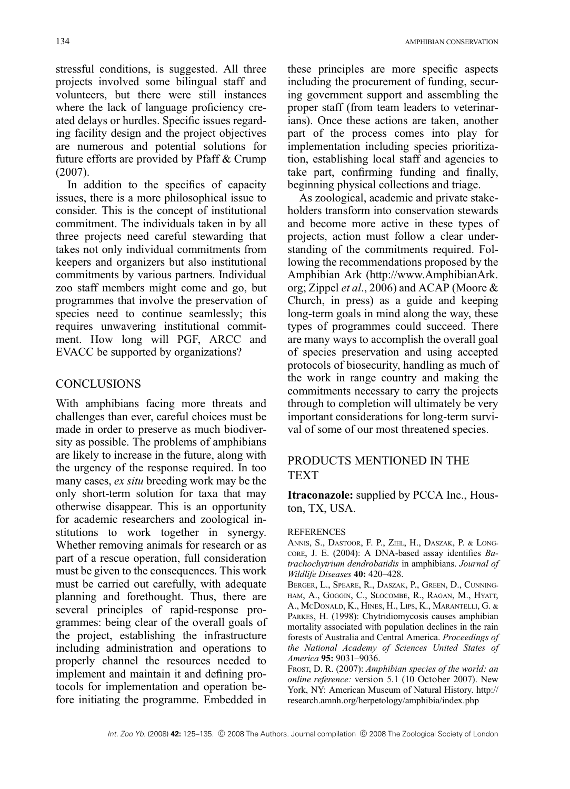stressful conditions, is suggested. All three projects involved some bilingual staff and volunteers, but there were still instances where the lack of language proficiency created delays or hurdles. Specific issues regarding facility design and the project objectives are numerous and potential solutions for future efforts are provided by Pfaff & Crump (2007).

In addition to the specifics of capacity issues, there is a more philosophical issue to consider. This is the concept of institutional commitment. The individuals taken in by all three projects need careful stewarding that takes not only individual commitments from keepers and organizers but also institutional commitments by various partners. Individual zoo staff members might come and go, but programmes that involve the preservation of species need to continue seamlessly; this requires unwavering institutional commitment. How long will PGF, ARCC and EVACC be supported by organizations?

#### **CONCLUSIONS**

With amphibians facing more threats and challenges than ever, careful choices must be made in order to preserve as much biodiversity as possible. The problems of amphibians are likely to increase in the future, along with the urgency of the response required. In too many cases, *ex situ* breeding work may be the only short-term solution for taxa that may otherwise disappear. This is an opportunity for academic researchers and zoological institutions to work together in synergy. Whether removing animals for research or as part of a rescue operation, full consideration must be given to the consequences. This work must be carried out carefully, with adequate planning and forethought. Thus, there are several principles of rapid-response programmes: being clear of the overall goals of the project, establishing the infrastructure including administration and operations to properly channel the resources needed to implement and maintain it and defining protocols for implementation and operation before initiating the programme. Embedded in

these principles are more specific aspects including the procurement of funding, securing government support and assembling the proper staff (from team leaders to veterinarians). Once these actions are taken, another part of the process comes into play for implementation including species prioritization, establishing local staff and agencies to take part, confirming funding and finally, beginning physical collections and triage.

As zoological, academic and private stakeholders transform into conservation stewards and become more active in these types of projects, action must follow a clear understanding of the commitments required. Following the recommendations proposed by the Amphibian Ark (http://www.AmphibianArk. org; Zippel et al., 2006) and ACAP (Moore & Church, in press) as a guide and keeping long-term goals in mind along the way, these types of programmes could succeed. There are many ways to accomplish the overall goal of species preservation and using accepted protocols of biosecurity, handling as much of the work in range country and making the commitments necessary to carry the projects through to completion will ultimately be very important considerations for long-term survival of some of our most threatened species.

## PRODUCTS MENTIONED IN THE TEXT

Itraconazole: supplied by PCCA Inc., Houston, TX, USA.

#### **REFERENCES**

ANNIS, S., DASTOOR, F. P., ZIEL, H., DASZAK, P. & LONG-CORE, J. E. (2004): A DNA-based assay identifies Batrachochytrium dendrobatidis in amphibians. Journal of Wildlife Diseases 40: 420–428.

BERGER, L., SPEARE, R., DASZAK, P., GREEN, D., CUNNING-HAM, A., GOGGIN, C., SLOCOMBE, R., RAGAN, M., HYATT, A., MCDONALD, K., HINES, H., LIPS, K., MARANTELLI, G. & PARKES, H. (1998): Chytridiomycosis causes amphibian mortality associated with population declines in the rain forests of Australia and Central America. Proceedings of the National Academy of Sciences United States of America 95: 9031–9036.

FROST, D. R. (2007): Amphibian species of the world: an online reference: version 5.1 (10 October 2007). New York, NY: American Museum of Natural History. http:// research.amnh.org/herpetology/amphibia/index.php